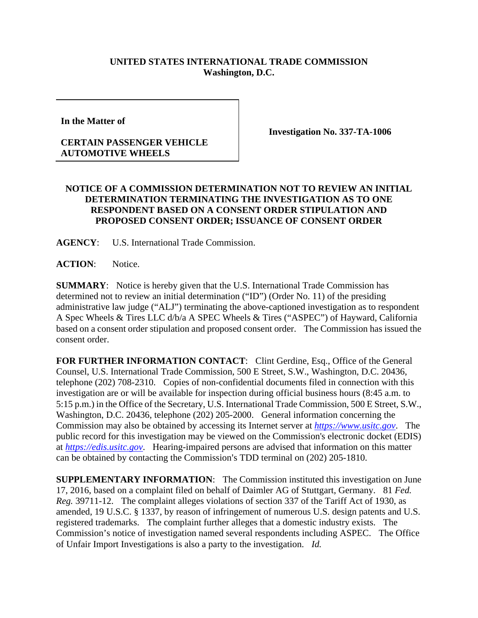## **UNITED STATES INTERNATIONAL TRADE COMMISSION Washington, D.C.**

**In the Matter of** 

## **CERTAIN PASSENGER VEHICLE AUTOMOTIVE WHEELS**

**Investigation No. 337-TA-1006** 

## **NOTICE OF A COMMISSION DETERMINATION NOT TO REVIEW AN INITIAL DETERMINATION TERMINATING THE INVESTIGATION AS TO ONE RESPONDENT BASED ON A CONSENT ORDER STIPULATION AND PROPOSED CONSENT ORDER; ISSUANCE OF CONSENT ORDER**

**AGENCY**: U.S. International Trade Commission.

**ACTION**: Notice.

**SUMMARY**: Notice is hereby given that the U.S. International Trade Commission has determined not to review an initial determination ("ID") (Order No. 11) of the presiding administrative law judge ("ALJ") terminating the above-captioned investigation as to respondent A Spec Wheels & Tires LLC d/b/a A SPEC Wheels & Tires ("ASPEC") of Hayward, California based on a consent order stipulation and proposed consent order. The Commission has issued the consent order.

**FOR FURTHER INFORMATION CONTACT**: Clint Gerdine, Esq., Office of the General Counsel, U.S. International Trade Commission, 500 E Street, S.W., Washington, D.C. 20436, telephone (202) 708-2310. Copies of non-confidential documents filed in connection with this investigation are or will be available for inspection during official business hours (8:45 a.m. to 5:15 p.m.) in the Office of the Secretary, U.S. International Trade Commission, 500 E Street, S.W., Washington, D.C. 20436, telephone (202) 205-2000. General information concerning the Commission may also be obtained by accessing its Internet server at *https://www.usitc.gov*. The public record for this investigation may be viewed on the Commission's electronic docket (EDIS) at *https://edis.usitc.gov*. Hearing-impaired persons are advised that information on this matter can be obtained by contacting the Commission's TDD terminal on  $(202)$  205-1810.

**SUPPLEMENTARY INFORMATION**: The Commission instituted this investigation on June 17, 2016, based on a complaint filed on behalf of Daimler AG of Stuttgart, Germany. 81 *Fed. Reg.* 39711-12. The complaint alleges violations of section 337 of the Tariff Act of 1930, as amended, 19 U.S.C. § 1337, by reason of infringement of numerous U.S. design patents and U.S. registered trademarks. The complaint further alleges that a domestic industry exists. The Commission's notice of investigation named several respondents including ASPEC. The Office of Unfair Import Investigations is also a party to the investigation. *Id.*